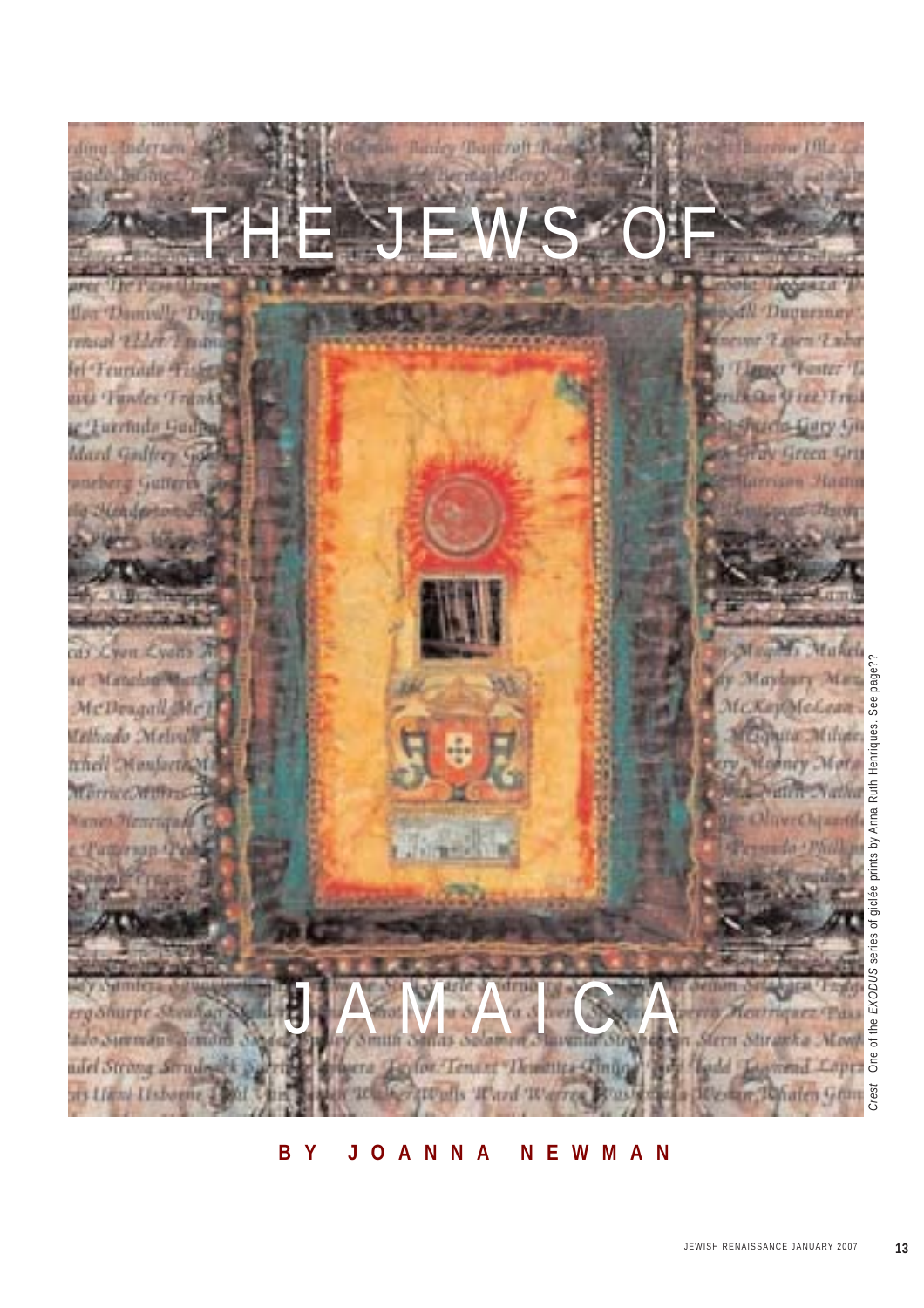

#### **BY JOANNA NEWMAN**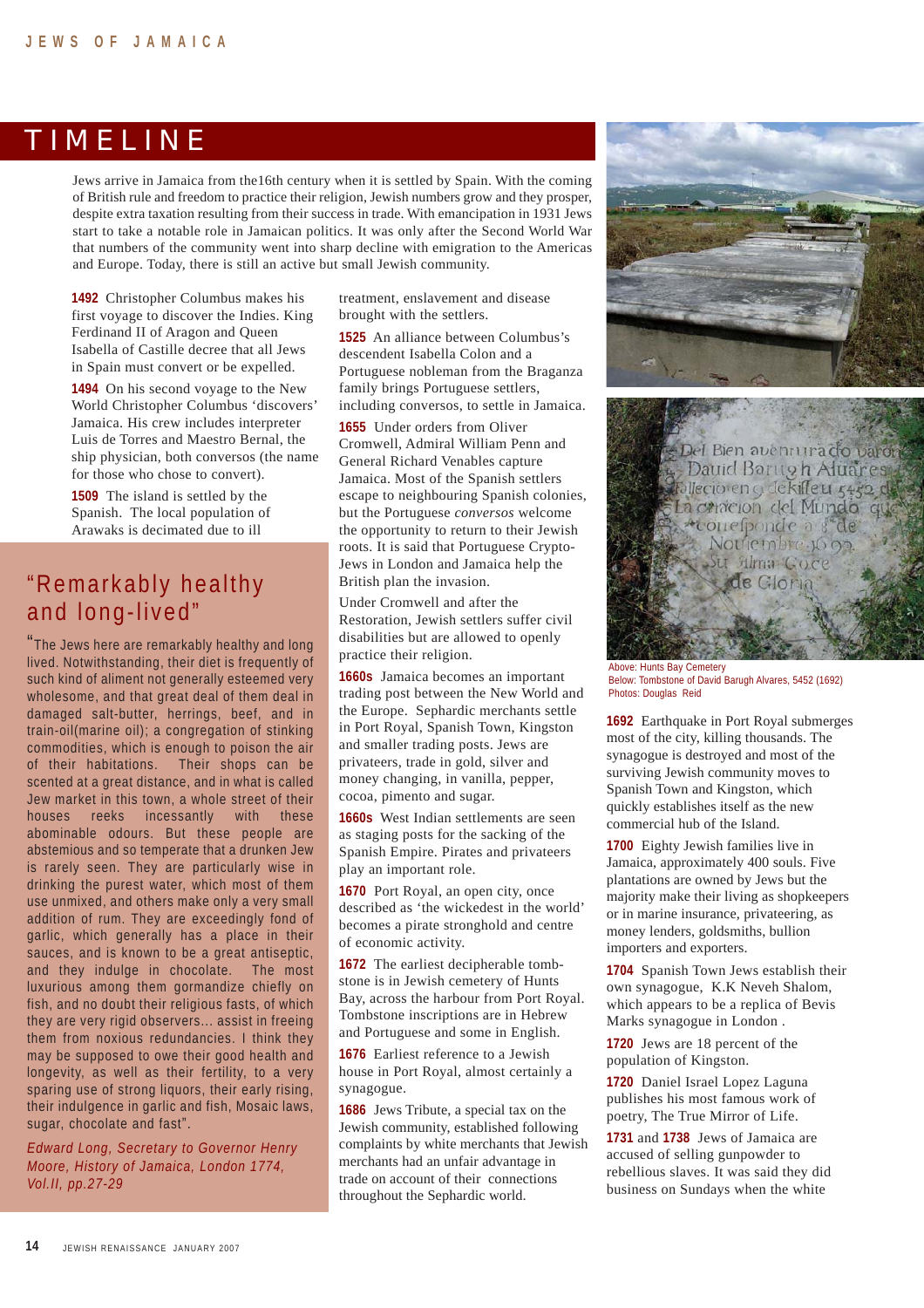#### TIMELINE

Jews arrive in Jamaica from the16th century when it is settled by Spain. With the coming of British rule and freedom to practice their religion, Jewish numbers grow and they prosper, despite extra taxation resulting from their success in trade. With emancipation in 1931 Jews start to take a notable role in Jamaican politics. It was only after the Second World War that numbers of the community went into sharp decline with emigration to the Americas and Europe. Today, there is still an active but small Jewish community.

**1492** Christopher Columbus makes his first voyage to discover the Indies. King Ferdinand II of Aragon and Queen Isabella of Castille decree that all Jews in Spain must convert or be expelled.

**1494** On his second voyage to the New World Christopher Columbus 'discovers' Jamaica. His crew includes interpreter Luis de Torres and Maestro Bernal, the ship physician, both conversos (the name for those who chose to convert).

**1509** The island is settled by the Spanish. The local population of Arawaks is decimated due to ill

### "Remarkably healthy and long-lived"

"The Jews here are remarkably healthy and long lived. Notwithstanding, their diet is frequently of such kind of aliment not generally esteemed very wholesome, and that great deal of them deal in damaged salt-butter, herrings, beef, and in train-oil(marine oil); a congregation of stinking commodities, which is enough to poison the air of their habitations. Their shops can be scented at a great distance, and in what is called Jew market in this town, a whole street of their houses reeks incessantly with these abominable odours. But these people are abstemious and so temperate that a drunken Jew is rarely seen. They are particularly wise in drinking the purest water, which most of them use unmixed, and others make only a very small addition of rum. They are exceedingly fond of garlic, which generally has a place in their sauces, and is known to be a great antiseptic, and they indulge in chocolate. The most luxurious among them gormandize chiefly on fish, and no doubt their religious fasts, of which they are very rigid observers... assist in freeing them from noxious redundancies. I think they may be supposed to owe their good health and longevity, as well as their fertility, to a very sparing use of strong liquors, their early rising, their indulgence in garlic and fish, Mosaic laws, sugar, chocolate and fast".

*Edward Long, Secretary to Governor Henry Moore, History of Jamaica, London 1774, Vol.II, pp.27-29*

treatment, enslavement and disease brought with the settlers.

**1525** An alliance between Columbus's descendent Isabella Colon and a Portuguese nobleman from the Braganza family brings Portuguese settlers, including conversos, to settle in Jamaica.

**1655** Under orders from Oliver Cromwell, Admiral William Penn and General Richard Venables capture Jamaica. Most of the Spanish settlers escape to neighbouring Spanish colonies, but the Portuguese *conversos* welcome the opportunity to return to their Jewish roots. It is said that Portuguese Crypto-Jews in London and Jamaica help the British plan the invasion.

Under Cromwell and after the Restoration, Jewish settlers suffer civil disabilities but are allowed to openly practice their religion.

**1660s** Jamaica becomes an important trading post between the New World and the Europe. Sephardic merchants settle in Port Royal, Spanish Town, Kingston and smaller trading posts. Jews are privateers, trade in gold, silver and money changing, in vanilla, pepper, cocoa, pimento and sugar.

**1660s** West Indian settlements are seen as staging posts for the sacking of the Spanish Empire. Pirates and privateers play an important role.

**1670** Port Royal, an open city, once described as 'the wickedest in the world' becomes a pirate stronghold and centre of economic activity.

**1672** The earliest decipherable tombstone is in Jewish cemetery of Hunts Bay, across the harbour from Port Royal. Tombstone inscriptions are in Hebrew and Portuguese and some in English.

**1676** Earliest reference to a Jewish house in Port Royal, almost certainly a synagogue.

**1686** Jews Tribute, a special tax on the Jewish community, established following complaints by white merchants that Jewish merchants had an unfair advantage in trade on account of their connections throughout the Sephardic world.





Above: Hunts Bay Cemetery Below: Tombstone of David Barugh Alvares, 5452 (1692) Photos: Douglas Reid

**1692** Earthquake in Port Royal submerges most of the city, killing thousands. The synagogue is destroyed and most of the surviving Jewish community moves to Spanish Town and Kingston, which quickly establishes itself as the new commercial hub of the Island.

**1700** Eighty Jewish families live in Jamaica, approximately 400 souls. Five plantations are owned by Jews but the majority make their living as shopkeepers or in marine insurance, privateering, as money lenders, goldsmiths, bullion importers and exporters.

**1704** Spanish Town Jews establish their own synagogue, K.K Neveh Shalom, which appears to be a replica of Bevis Marks synagogue in London .

**1720** Jews are 18 percent of the population of Kingston.

**1720** Daniel Israel Lopez Laguna publishes his most famous work of poetry, The True Mirror of Life.

**1731** and **1738** Jews of Jamaica are accused of selling gunpowder to rebellious slaves. It was said they did business on Sundays when the white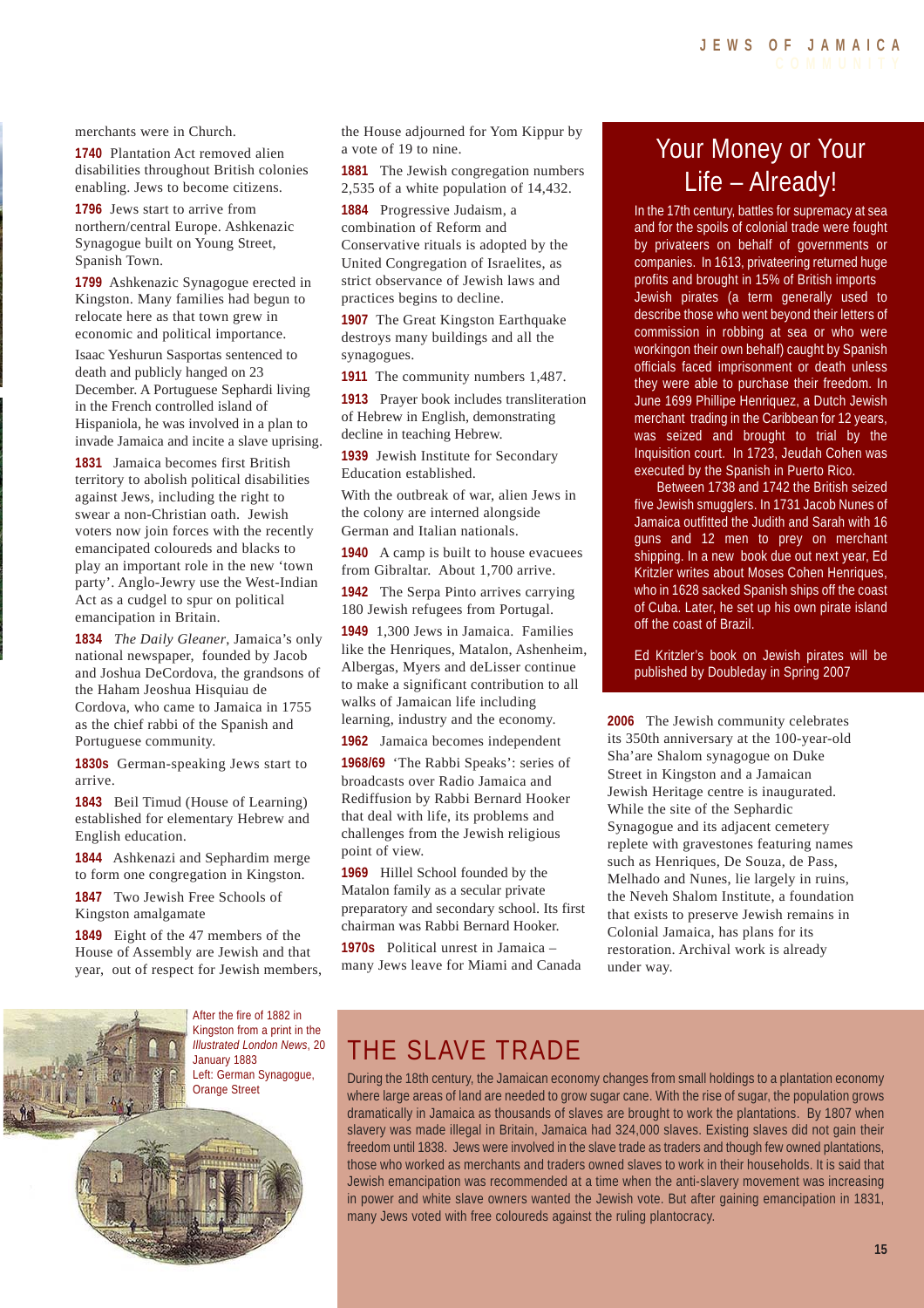merchants were in Church.

**1740** Plantation Act removed alien disabilities throughout British colonies enabling. Jews to become citizens.

**1796** Jews start to arrive from northern/central Europe. Ashkenazic Synagogue built on Young Street, Spanish Town.

**1799** Ashkenazic Synagogue erected in Kingston. Many families had begun to relocate here as that town grew in economic and political importance.

Isaac Yeshurun Sasportas sentenced to death and publicly hanged on 23 December. A Portuguese Sephardi living in the French controlled island of Hispaniola, he was involved in a plan to invade Jamaica and incite a slave uprising.

**1831** Jamaica becomes first British territory to abolish political disabilities against Jews, including the right to swear a non-Christian oath. Jewish voters now join forces with the recently emancipated coloureds and blacks to play an important role in the new 'town party'. Anglo-Jewry use the West-Indian Act as a cudgel to spur on political emancipation in Britain.

**1834** *The Daily Gleaner*, Jamaica's only national newspaper, founded by Jacob and Joshua DeCordova, the grandsons of the Haham Jeoshua Hisquiau de Cordova, who came to Jamaica in 1755 as the chief rabbi of the Spanish and Portuguese community.

**1830s** German-speaking Jews start to arrive.

**1843** Beil Timud (House of Learning) established for elementary Hebrew and English education.

**1844** Ashkenazi and Sephardim merge to form one congregation in Kingston.

**1847** Two Jewish Free Schools of Kingston amalgamate

**1849** Eight of the 47 members of the House of Assembly are Jewish and that year, out of respect for Jewish members, the House adjourned for Yom Kippur by a vote of 19 to nine.

**1881** The Jewish congregation numbers 2,535 of a white population of 14,432.

**1884** Progressive Judaism, a combination of Reform and Conservative rituals is adopted by the United Congregation of Israelites, as strict observance of Jewish laws and practices begins to decline.

**1907** The Great Kingston Earthquake destroys many buildings and all the synagogues.

**1911** The community numbers 1,487.

**1913** Prayer book includes transliteration of Hebrew in English, demonstrating decline in teaching Hebrew.

**1939** Jewish Institute for Secondary Education established.

With the outbreak of war, alien Jews in the colony are interned alongside German and Italian nationals.

**1940** A camp is built to house evacuees from Gibraltar. About 1,700 arrive.

**1942** The Serpa Pinto arrives carrying 180 Jewish refugees from Portugal.

**1949** 1,300 Jews in Jamaica. Families like the Henriques, Matalon, Ashenheim, Albergas, Myers and deLisser continue to make a significant contribution to all walks of Jamaican life including learning, industry and the economy.

**1962** Jamaica becomes independent

**1968/69** 'The Rabbi Speaks': series of broadcasts over Radio Jamaica and Rediffusion by Rabbi Bernard Hooker that deal with life, its problems and challenges from the Jewish religious point of view.

**1969** Hillel School founded by the Matalon family as a secular private preparatory and secondary school. Its first chairman was Rabbi Bernard Hooker.

**1970s** Political unrest in Jamaica – many Jews leave for Miami and Canada

# Your Money or Your Life – Already!

In the 17th century, battles for supremacy at sea and for the spoils of colonial trade were fought by privateers on behalf of governments or companies. In 1613, privateering returned huge profits and brought in 15% of British imports Jewish pirates (a term generally used to describe those who went beyond their letters of commission in robbing at sea or who were workingon their own behalf) caught by Spanish officials faced imprisonment or death unless they were able to purchase their freedom. In June 1699 Phillipe Henriquez, a Dutch Jewish merchant trading in the Caribbean for 12 years, was seized and brought to trial by the Inquisition court. In 1723, Jeudah Cohen was executed by the Spanish in Puerto Rico.

Between 1738 and 1742 the British seized five Jewish smugglers. In 1731 Jacob Nunes of Jamaica outfitted the Judith and Sarah with 16 guns and 12 men to prey on merchant shipping. In a new book due out next year, Ed Kritzler writes about Moses Cohen Henriques, who in 1628 sacked Spanish ships off the coast of Cuba. Later, he set up his own pirate island off the coast of Brazil.

Ed Kritzler's book on Jewish pirates will be published by Doubleday in Spring 2007

**2006** The Jewish community celebrates its 350th anniversary at the 100-year-old Sha'are Shalom synagogue on Duke Street in Kingston and a Jamaican Jewish Heritage centre is inaugurated. While the site of the Sephardic Synagogue and its adjacent cemetery replete with gravestones featuring names such as Henriques, De Souza, de Pass, Melhado and Nunes, lie largely in ruins, the Neveh Shalom Institute, a foundation that exists to preserve Jewish remains in Colonial Jamaica, has plans for its restoration. Archival work is already under way.



# THE SLAVE TRADE

During the 18th century, the Jamaican economy changes from small holdings to a plantation economy where large areas of land are needed to grow sugar cane. With the rise of sugar, the population grows dramatically in Jamaica as thousands of slaves are brought to work the plantations. By 1807 when slavery was made illegal in Britain, Jamaica had 324,000 slaves. Existing slaves did not gain their freedom until 1838. Jews were involved in the slave trade as traders and though few owned plantations, those who worked as merchants and traders owned slaves to work in their households. It is said that Jewish emancipation was recommended at a time when the anti-slavery movement was increasing in power and white slave owners wanted the Jewish vote. But after gaining emancipation in 1831, many Jews voted with free coloureds against the ruling plantocracy.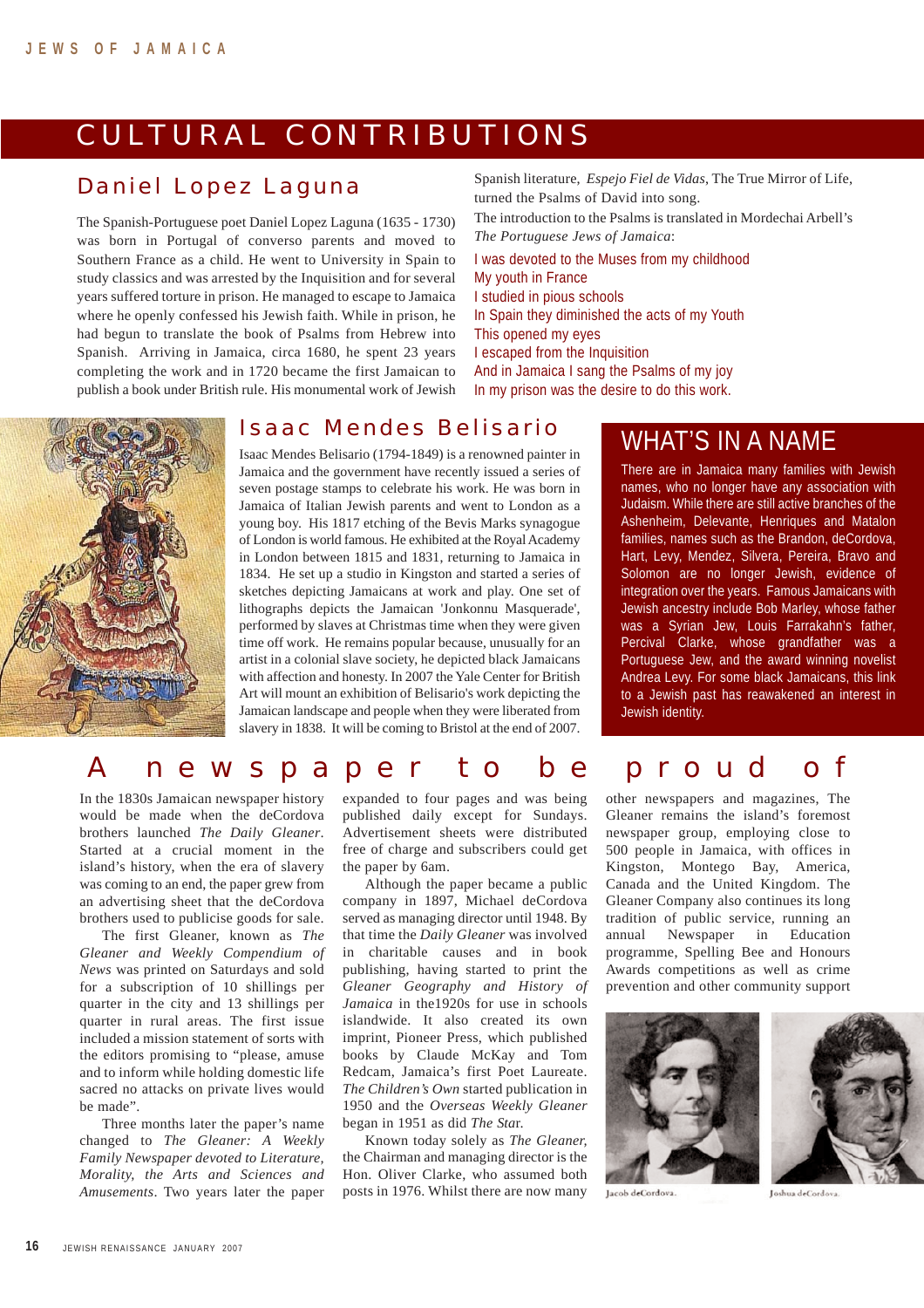## CULTURAL CONTRIBUTIONS

#### Daniel Lopez Laguna

The Spanish-Portuguese poet Daniel Lopez Laguna (1635 - 1730) was born in Portugal of converso parents and moved to Southern France as a child. He went to University in Spain to study classics and was arrested by the Inquisition and for several years suffered torture in prison. He managed to escape to Jamaica where he openly confessed his Jewish faith. While in prison, he had begun to translate the book of Psalms from Hebrew into Spanish. Arriving in Jamaica, circa 1680, he spent 23 years completing the work and in 1720 became the first Jamaican to publish a book under British rule. His monumental work of Jewish Spanish literature, *Espejo Fiel de Vidas*, The True Mirror of Life, turned the Psalms of David into song.

The introduction to the Psalms is translated in Mordechai Arbell's *The Portuguese Jews of Jamaica*:

I was devoted to the Muses from my childhood My youth in France I studied in pious schools In Spain they diminished the acts of my Youth This opened my eyes I escaped from the Inquisition And in Jamaica I sang the Psalms of my joy In my prison was the desire to do this work.

#### Isaac Mendes Belisario

Isaac Mendes Belisario (1794-1849) is a renowned painter in Jamaica and the government have recently issued a series of seven postage stamps to celebrate his work. He was born in Jamaica of Italian Jewish parents and went to London as a young boy. His 1817 etching of the Bevis Marks synagogue of London is world famous. He exhibited at the Royal Academy in London between 1815 and 1831, returning to Jamaica in 1834. He set up a studio in Kingston and started a series of sketches depicting Jamaicans at work and play. One set of lithographs depicts the Jamaican 'Jonkonnu Masquerade', performed by slaves at Christmas time when they were given time off work. He remains popular because, unusually for an artist in a colonial slave society, he depicted black Jamaicans with affection and honesty. In 2007 the Yale Center for British Art will mount an exhibition of Belisario's work depicting the Jamaican landscape and people when they were liberated from slavery in 1838. It will be coming to Bristol at the end of 2007.

### WHAT'S IN A NAME

There are in Jamaica many families with Jewish names, who no longer have any association with Judaism. While there are still active branches of the Ashenheim, Delevante, Henriques and Matalon families, names such as the Brandon, deCordova, Hart, Levy, Mendez, Silvera, Pereira, Bravo and Solomon are no longer Jewish, evidence of integration over the years. Famous Jamaicans with Jewish ancestry include Bob Marley, whose father was a Syrian Jew, Louis Farrakahn's father, Percival Clarke, whose grandfather was a Portuguese Jew, and the award winning novelist Andrea Levy. For some black Jamaicans, this link to a Jewish past has reawakened an interest in Jewish identity.

#### A newspaper to be proud of

In the 1830s Jamaican newspaper history would be made when the deCordova brothers launched *The Daily Gleaner*. Started at a crucial moment in the island's history, when the era of slavery was coming to an end, the paper grew from an advertising sheet that the deCordova brothers used to publicise goods for sale.

The first Gleaner, known as *The Gleaner and Weekly Compendium of News* was printed on Saturdays and sold for a subscription of 10 shillings per quarter in the city and 13 shillings per quarter in rural areas. The first issue included a mission statement of sorts with the editors promising to "please, amuse and to inform while holding domestic life sacred no attacks on private lives would be made".

Three months later the paper's name changed to *The Gleaner: A Weekly Family Newspaper devoted to Literature, Morality, the Arts and Sciences and Amusements*. Two years later the paper expanded to four pages and was being published daily except for Sundays. Advertisement sheets were distributed free of charge and subscribers could get the paper by 6am.

Although the paper became a public company in 1897, Michael deCordova served as managing director until 1948. By that time the *Daily Gleaner* was involved in charitable causes and in book publishing, having started to print the *Gleaner Geography and History of Jamaica* in the1920s for use in schools islandwide. It also created its own imprint, Pioneer Press, which published books by Claude McKay and Tom Redcam, Jamaica's first Poet Laureate. *The Children's Own* started publication in 1950 and the *Overseas Weekly Gleaner* began in 1951 as did *The Sta*r.

Known today solely as *The Gleaner,* the Chairman and managing director is the Hon. Oliver Clarke, who assumed both posts in 1976. Whilst there are now many other newspapers and magazines, The Gleaner remains the island's foremost newspaper group, employing close to 500 people in Jamaica, with offices in Kingston, Montego Bay, America, Canada and the United Kingdom. The Gleaner Company also continues its long tradition of public service, running an annual Newspaper in Education programme, Spelling Bee and Honours Awards competitions as well as crime prevention and other community support



Jacob deCordova.





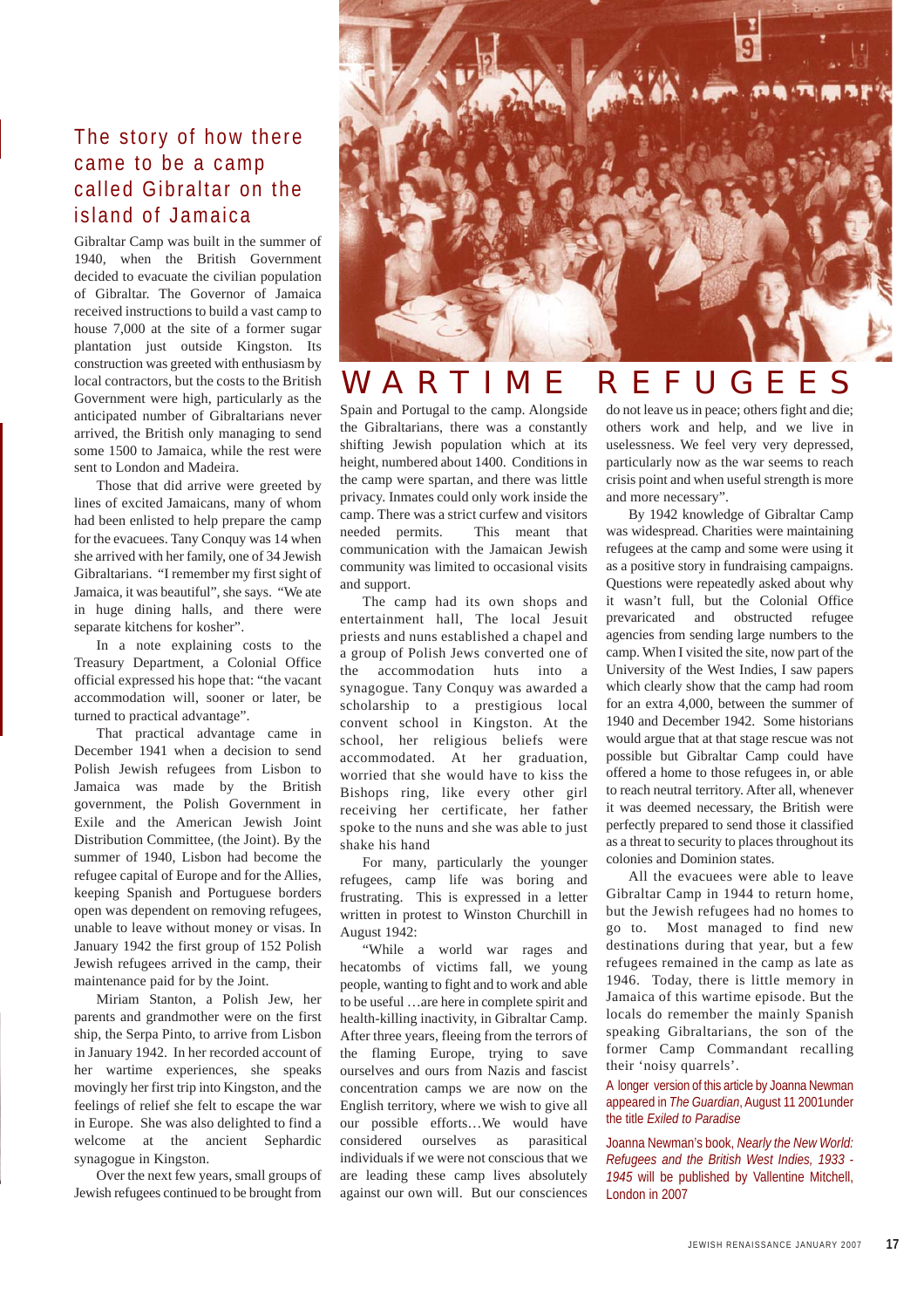#### The story of how there came to be a camp called Gibraltar on the island of Jamaica

Gibraltar Camp was built in the summer of 1940, when the British Government decided to evacuate the civilian population of Gibraltar. The Governor of Jamaica received instructions to build a vast camp to house 7,000 at the site of a former sugar plantation just outside Kingston. Its construction was greeted with enthusiasm by local contractors, but the costs to the British Government were high, particularly as the anticipated number of Gibraltarians never arrived, the British only managing to send some 1500 to Jamaica, while the rest were sent to London and Madeira.

Those that did arrive were greeted by lines of excited Jamaicans, many of whom had been enlisted to help prepare the camp for the evacuees. Tany Conquy was 14 when she arrived with her family, one of 34 Jewish Gibraltarians. "I remember my first sight of Jamaica, it was beautiful", she says. "We ate in huge dining halls, and there were separate kitchens for kosher".

In a note explaining costs to the Treasury Department, a Colonial Office official expressed his hope that: "the vacant accommodation will, sooner or later, be turned to practical advantage".

That practical advantage came in December 1941 when a decision to send Polish Jewish refugees from Lisbon to Jamaica was made by the British government, the Polish Government in Exile and the American Jewish Joint Distribution Committee, (the Joint). By the summer of 1940, Lisbon had become the refugee capital of Europe and for the Allies, keeping Spanish and Portuguese borders open was dependent on removing refugees, unable to leave without money or visas. In January 1942 the first group of 152 Polish Jewish refugees arrived in the camp, their maintenance paid for by the Joint.

Miriam Stanton, a Polish Jew, her parents and grandmother were on the first ship, the Serpa Pinto, to arrive from Lisbon in January 1942. In her recorded account of her wartime experiences, she speaks movingly her first trip into Kingston, and the feelings of relief she felt to escape the war in Europe. She was also delighted to find a welcome at the ancient Sephardic synagogue in Kingston.

Over the next few years, small groups of Jewish refugees continued to be brought from



### WARTIME REFUGEES

Spain and Portugal to the camp. Alongside the Gibraltarians, there was a constantly shifting Jewish population which at its height, numbered about 1400. Conditions in the camp were spartan, and there was little privacy. Inmates could only work inside the camp. There was a strict curfew and visitors needed permits. This meant that communication with the Jamaican Jewish community was limited to occasional visits and support.

The camp had its own shops and entertainment hall, The local Jesuit priests and nuns established a chapel and a group of Polish Jews converted one of the accommodation huts into a synagogue. Tany Conquy was awarded a scholarship to a prestigious local convent school in Kingston. At the school, her religious beliefs were accommodated. At her graduation, worried that she would have to kiss the Bishops ring, like every other girl receiving her certificate, her father spoke to the nuns and she was able to just shake his hand

For many, particularly the younger refugees, camp life was boring and frustrating. This is expressed in a letter written in protest to Winston Churchill in August 1942:

"While a world war rages and hecatombs of victims fall, we young people, wanting to fight and to work and able to be useful …are here in complete spirit and health-killing inactivity, in Gibraltar Camp. After three years, fleeing from the terrors of the flaming Europe, trying to save ourselves and ours from Nazis and fascist concentration camps we are now on the English territory, where we wish to give all our possible efforts…We would have considered ourselves as parasitical individuals if we were not conscious that we are leading these camp lives absolutely against our own will. But our consciences do not leave us in peace; others fight and die; others work and help, and we live in uselessness. We feel very very depressed, particularly now as the war seems to reach crisis point and when useful strength is more and more necessary".

By 1942 knowledge of Gibraltar Camp was widespread. Charities were maintaining refugees at the camp and some were using it as a positive story in fundraising campaigns. Questions were repeatedly asked about why it wasn't full, but the Colonial Office prevaricated and obstructed refugee agencies from sending large numbers to the camp. When I visited the site, now part of the University of the West Indies, I saw papers which clearly show that the camp had room for an extra 4,000, between the summer of 1940 and December 1942. Some historians would argue that at that stage rescue was not possible but Gibraltar Camp could have offered a home to those refugees in, or able to reach neutral territory. After all, whenever it was deemed necessary, the British were perfectly prepared to send those it classified as a threat to security to places throughout its colonies and Dominion states.

All the evacuees were able to leave Gibraltar Camp in 1944 to return home, but the Jewish refugees had no homes to go to. Most managed to find new destinations during that year, but a few refugees remained in the camp as late as 1946. Today, there is little memory in Jamaica of this wartime episode. But the locals do remember the mainly Spanish speaking Gibraltarians, the son of the former Camp Commandant recalling their 'noisy quarrels'.

#### A longer version of this article by Joanna Newman appeared in *The Guardian*, August 11 2001under the title *Exiled to Paradise*

Joanna Newman's book, *Nearly the New World: Refugees and the British West Indies, 1933 - 1945* will be published by Vallentine Mitchell, London in 2007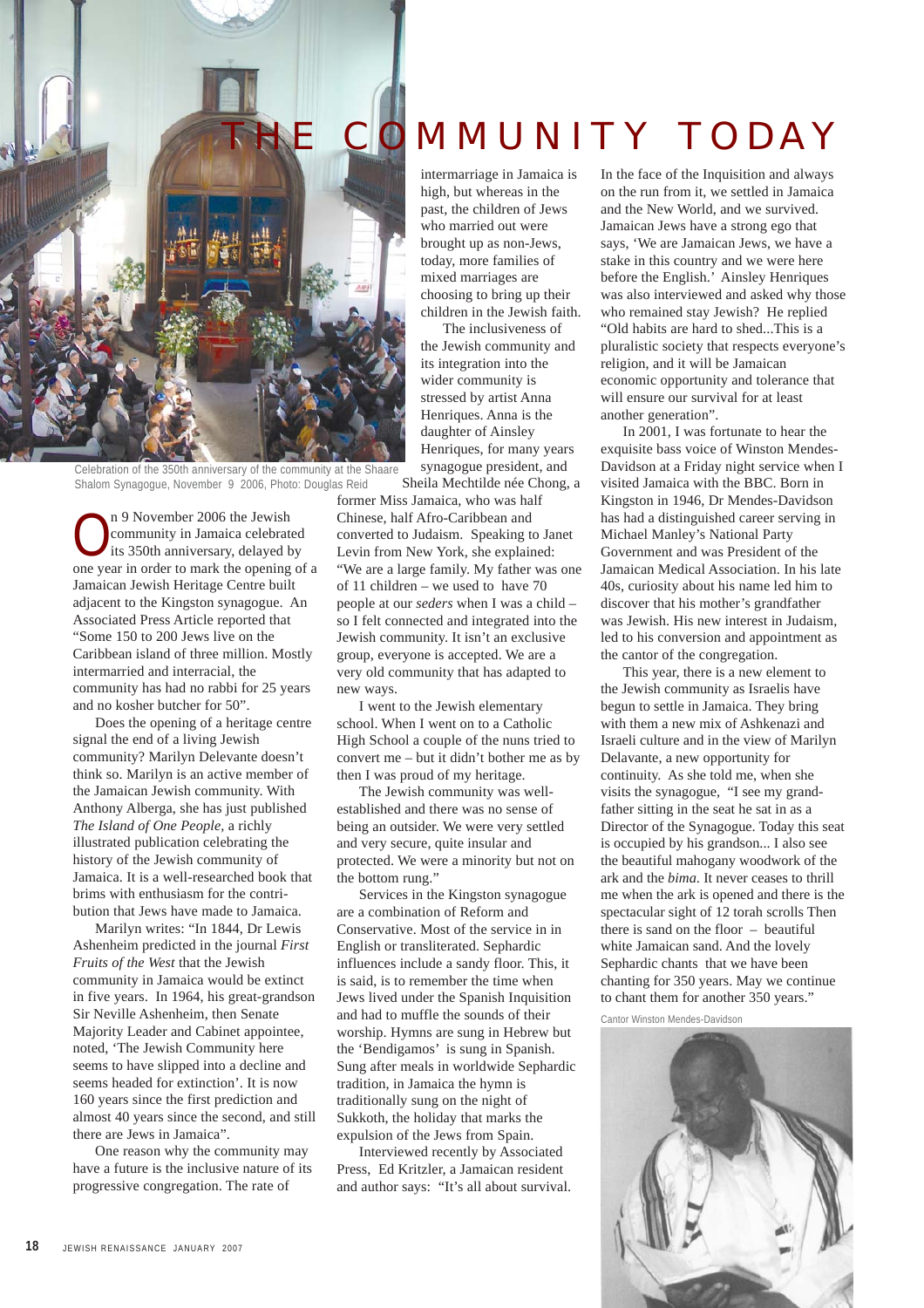

Celebration of the 350th anniversary of the community at the Shaare Shalom Synagogue, November 9 2006, Photo: Douglas Reid

n 9 November 2006 the Jewish<br>
community in Jamaica celebrated<br>
its 350th anniversary, delayed by community in Jamaica celebrated one year in order to mark the opening of a Jamaican Jewish Heritage Centre built adjacent to the Kingston synagogue. An Associated Press Article reported that "Some 150 to 200 Jews live on the Caribbean island of three million. Mostly intermarried and interracial, the community has had no rabbi for 25 years and no kosher butcher for 50".

Does the opening of a heritage centre signal the end of a living Jewish community? Marilyn Delevante doesn't think so. Marilyn is an active member of the Jamaican Jewish community. With Anthony Alberga, she has just published *The Island of One People,* a richly illustrated publication celebrating the history of the Jewish community of Jamaica. It is a well-researched book that brims with enthusiasm for the contribution that Jews have made to Jamaica.

Marilyn writes: "In 1844, Dr Lewis Ashenheim predicted in the journal *First Fruits of the West* that the Jewish community in Jamaica would be extinct in five years. In 1964, his great-grandson Sir Neville Ashenheim, then Senate Majority Leader and Cabinet appointee, noted, 'The Jewish Community here seems to have slipped into a decline and seems headed for extinction'. It is now 160 years since the first prediction and almost 40 years since the second, and still there are Jews in Jamaica".

One reason why the community may have a future is the inclusive nature of its progressive congregation. The rate of

# **MMUNITY TODAY**

intermarriage in Jamaica is high, but whereas in the past, the children of Jews who married out were brought up as non-Jews, today, more families of mixed marriages are choosing to bring up their children in the Jewish faith.

The inclusiveness of the Jewish community and its integration into the wider community is stressed by artist Anna Henriques. Anna is the daughter of Ainsley Henriques, for many years synagogue president, and

Sheila Mechtilde née Chong, a

former Miss Jamaica, who was half Chinese, half Afro-Caribbean and converted to Judaism. Speaking to Janet Levin from New York, she explained: "We are a large family. My father was one of 11 children – we used to have 70 people at our *seders* when I was a child – so I felt connected and integrated into the Jewish community. It isn't an exclusive group, everyone is accepted. We are a very old community that has adapted to new ways.

I went to the Jewish elementary school. When I went on to a Catholic High School a couple of the nuns tried to convert me – but it didn't bother me as by then I was proud of my heritage.

The Jewish community was wellestablished and there was no sense of being an outsider. We were very settled and very secure, quite insular and protected. We were a minority but not on the bottom rung."

Services in the Kingston synagogue are a combination of Reform and Conservative. Most of the service in in English or transliterated. Sephardic influences include a sandy floor. This, it is said, is to remember the time when Jews lived under the Spanish Inquisition and had to muffle the sounds of their worship. Hymns are sung in Hebrew but the 'Bendigamos' is sung in Spanish. Sung after meals in worldwide Sephardic tradition, in Jamaica the hymn is traditionally sung on the night of Sukkoth, the holiday that marks the expulsion of the Jews from Spain.

Interviewed recently by Associated Press, Ed Kritzler, a Jamaican resident and author says: "It's all about survival. In the face of the Inquisition and always on the run from it, we settled in Jamaica and the New World, and we survived. Jamaican Jews have a strong ego that says, 'We are Jamaican Jews, we have a stake in this country and we were here before the English.' Ainsley Henriques was also interviewed and asked why those who remained stay Jewish? He replied "Old habits are hard to shed...This is a pluralistic society that respects everyone's religion, and it will be Jamaican economic opportunity and tolerance that will ensure our survival for at least another generation".

In 2001, I was fortunate to hear the exquisite bass voice of Winston Mendes-Davidson at a Friday night service when I visited Jamaica with the BBC. Born in Kingston in 1946, Dr Mendes-Davidson has had a distinguished career serving in Michael Manley's National Party Government and was President of the Jamaican Medical Association. In his late 40s, curiosity about his name led him to discover that his mother's grandfather was Jewish. His new interest in Judaism, led to his conversion and appointment as the cantor of the congregation.

This year, there is a new element to the Jewish community as Israelis have begun to settle in Jamaica. They bring with them a new mix of Ashkenazi and Israeli culture and in the view of Marilyn Delavante, a new opportunity for continuity. As she told me, when she visits the synagogue, "I see my grandfather sitting in the seat he sat in as a Director of the Synagogue. Today this seat is occupied by his grandson... I also see the beautiful mahogany woodwork of the ark and the *bima*. It never ceases to thrill me when the ark is opened and there is the spectacular sight of 12 torah scrolls Then there is sand on the floor – beautiful white Jamaican sand. And the lovely Sephardic chants that we have been chanting for 350 years. May we continue to chant them for another 350 years."

Cantor Winston Mendes-Davidson

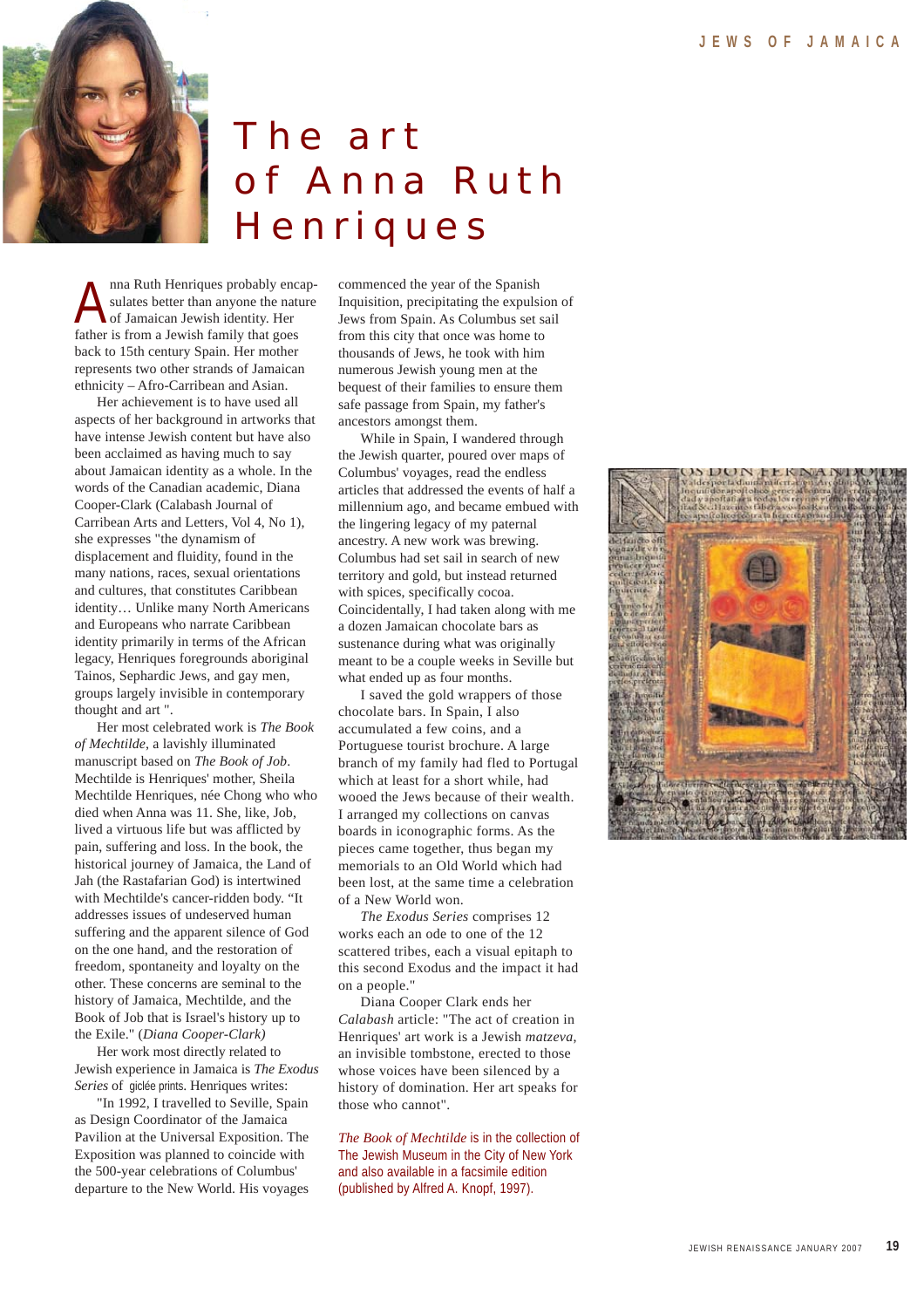

# The art of Anna Ruth **Henriques**

nna Ruth Henriques probably encapsulates better than anyone the nature of Jamaican Jewish identity. Her father is from a Jewish family that goes back to 15th century Spain. Her mother represents two other strands of Jamaican ethnicity – Afro-Carribean and Asian.

Her achievement is to have used all aspects of her background in artworks that have intense Jewish content but have also been acclaimed as having much to say about Jamaican identity as a whole. In the words of the Canadian academic, Diana Cooper-Clark (Calabash Journal of Carribean Arts and Letters, Vol 4, No 1), she expresses "the dynamism of displacement and fluidity, found in the many nations, races, sexual orientations and cultures, that constitutes Caribbean identity… Unlike many North Americans and Europeans who narrate Caribbean identity primarily in terms of the African legacy, Henriques foregrounds aboriginal Tainos, Sephardic Jews, and gay men, groups largely invisible in contemporary thought and art ".

Her most celebrated work is *The Book of Mechtilde*, a lavishly illuminated manuscript based on *The Book of Job*. Mechtilde is Henriques' mother, Sheila Mechtilde Henriques, née Chong who who died when Anna was 11. She, like, Job, lived a virtuous life but was afflicted by pain, suffering and loss. In the book, the historical journey of Jamaica, the Land of Jah (the Rastafarian God) is intertwined with Mechtilde's cancer-ridden body. "It addresses issues of undeserved human suffering and the apparent silence of God on the one hand, and the restoration of freedom, spontaneity and loyalty on the other. These concerns are seminal to the history of Jamaica, Mechtilde, and the Book of Job that is Israel's history up to the Exile." (*Diana Cooper-Clark)*

Her work most directly related to Jewish experience in Jamaica is *The Exodus Series* of giclée prints. Henriques writes:

"In 1992, I travelled to Seville, Spain as Design Coordinator of the Jamaica Pavilion at the Universal Exposition. The Exposition was planned to coincide with the 500-year celebrations of Columbus' departure to the New World. His voyages

commenced the year of the Spanish Inquisition, precipitating the expulsion of Jews from Spain. As Columbus set sail from this city that once was home to thousands of Jews, he took with him numerous Jewish young men at the bequest of their families to ensure them safe passage from Spain, my father's ancestors amongst them.

While in Spain, I wandered through the Jewish quarter, poured over maps of Columbus' voyages, read the endless articles that addressed the events of half a millennium ago, and became embued with the lingering legacy of my paternal ancestry. A new work was brewing. Columbus had set sail in search of new territory and gold, but instead returned with spices, specifically cocoa. Coincidentally, I had taken along with me a dozen Jamaican chocolate bars as sustenance during what was originally meant to be a couple weeks in Seville but what ended up as four months.

I saved the gold wrappers of those chocolate bars. In Spain, I also accumulated a few coins, and a Portuguese tourist brochure. A large branch of my family had fled to Portugal which at least for a short while, had wooed the Jews because of their wealth. I arranged my collections on canvas boards in iconographic forms. As the pieces came together, thus began my memorials to an Old World which had been lost, at the same time a celebration of a New World won.

*The Exodus Series* comprises 12 works each an ode to one of the 12 scattered tribes, each a visual epitaph to this second Exodus and the impact it had on a people."

Diana Cooper Clark ends her *Calabash* article: "The act of creation in Henriques' art work is a Jewish *matzeva*, an invisible tombstone, erected to those whose voices have been silenced by a history of domination. Her art speaks for those who cannot".

*The Book of Mechtilde* is in the collection of The Jewish Museum in the City of New York and also available in a facsimile edition (published by Alfred A. Knopf, 1997).